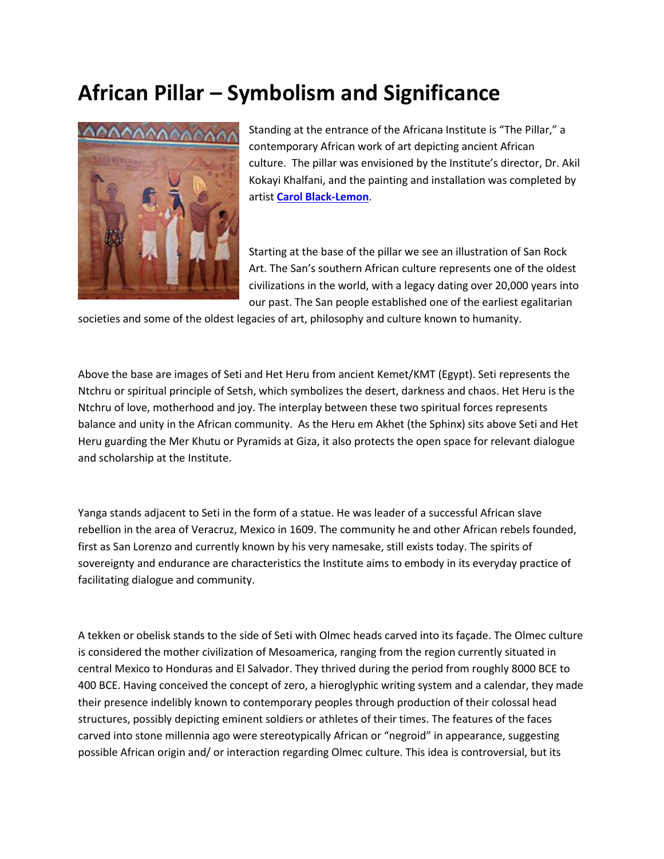## **African Pillar – Symbolism and Significance**



Standing at the entrance of the Africana Institute is "The Pillar," a contemporary African work of art depicting ancient African culture. The pillar was envisioned by the Institute's director, Dr. Akil Kokayi Khalfani, and the painting and installation was completed by artist **[Carol Black-Lemon](http://www.blacklemonart.com/)**.

Starting at the base of the pillar we see an illustration of San Rock Art. The San's southern African culture represents one of the oldest civilizations in the world, with a legacy dating over 20,000 years into our past. The San people established one of the earliest egalitarian

societies and some of the oldest legacies of art, philosophy and culture known to humanity.

Above the base are images of Seti and Het Heru from ancient Kemet/KMT (Egypt). Seti represents the Ntchru or spiritual principle of Setsh, which symbolizes the desert, darkness and chaos. Het Heru is the Ntchru of love, motherhood and joy. The interplay between these two spiritual forces represents balance and unity in the African community. As the Heru em Akhet (the Sphinx) sits above Seti and Het Heru guarding the Mer Khutu or Pyramids at Giza, it also protects the open space for relevant dialogue and scholarship at the Institute.

Yanga stands adjacent to Seti in the form of a statue. He was leader of a successful African slave rebellion in the area of Veracruz, Mexico in 1609. The community he and other African rebels founded, first as San Lorenzo and currently known by his very namesake, still exists today. The spirits of sovereignty and endurance are characteristics the Institute aims to embody in its everyday practice of facilitating dialogue and community.

A tekken or obelisk stands to the side of Seti with Olmec heads carved into its façade. The Olmec culture is considered the mother civilization of Mesoamerica, ranging from the region currently situated in central Mexico to Honduras and El Salvador. They thrived during the period from roughly 8000 BCE to 400 BCE. Having conceived the concept of zero, a hieroglyphic writing system and a calendar, they made their presence indelibly known to contemporary peoples through production of their colossal head structures, possibly depicting eminent soldiers or athletes of their times. The features of the faces carved into stone millennia ago were stereotypically African or "negroid" in appearance, suggesting possible African origin and/ or interaction regarding Olmec culture. This idea is controversial, but its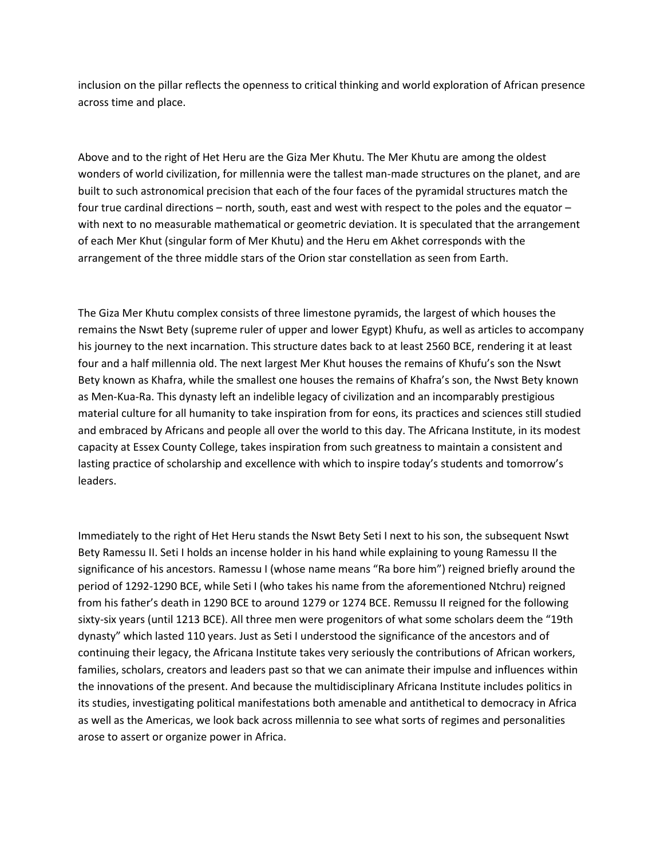inclusion on the pillar reflects the openness to critical thinking and world exploration of African presence across time and place.

Above and to the right of Het Heru are the Giza Mer Khutu. The Mer Khutu are among the oldest wonders of world civilization, for millennia were the tallest man-made structures on the planet, and are built to such astronomical precision that each of the four faces of the pyramidal structures match the four true cardinal directions – north, south, east and west with respect to the poles and the equator – with next to no measurable mathematical or geometric deviation. It is speculated that the arrangement of each Mer Khut (singular form of Mer Khutu) and the Heru em Akhet corresponds with the arrangement of the three middle stars of the Orion star constellation as seen from Earth.

The Giza Mer Khutu complex consists of three limestone pyramids, the largest of which houses the remains the Nswt Bety (supreme ruler of upper and lower Egypt) Khufu, as well as articles to accompany his journey to the next incarnation. This structure dates back to at least 2560 BCE, rendering it at least four and a half millennia old. The next largest Mer Khut houses the remains of Khufu's son the Nswt Bety known as Khafra, while the smallest one houses the remains of Khafra's son, the Nwst Bety known as Men-Kua-Ra. This dynasty left an indelible legacy of civilization and an incomparably prestigious material culture for all humanity to take inspiration from for eons, its practices and sciences still studied and embraced by Africans and people all over the world to this day. The Africana Institute, in its modest capacity at Essex County College, takes inspiration from such greatness to maintain a consistent and lasting practice of scholarship and excellence with which to inspire today's students and tomorrow's leaders.

Immediately to the right of Het Heru stands the Nswt Bety Seti I next to his son, the subsequent Nswt Bety Ramessu II. Seti I holds an incense holder in his hand while explaining to young Ramessu II the significance of his ancestors. Ramessu I (whose name means "Ra bore him") reigned briefly around the period of 1292-1290 BCE, while Seti I (who takes his name from the aforementioned Ntchru) reigned from his father's death in 1290 BCE to around 1279 or 1274 BCE. Remussu II reigned for the following sixty-six years (until 1213 BCE). All three men were progenitors of what some scholars deem the "19th dynasty" which lasted 110 years. Just as Seti I understood the significance of the ancestors and of continuing their legacy, the Africana Institute takes very seriously the contributions of African workers, families, scholars, creators and leaders past so that we can animate their impulse and influences within the innovations of the present. And because the multidisciplinary Africana Institute includes politics in its studies, investigating political manifestations both amenable and antithetical to democracy in Africa as well as the Americas, we look back across millennia to see what sorts of regimes and personalities arose to assert or organize power in Africa.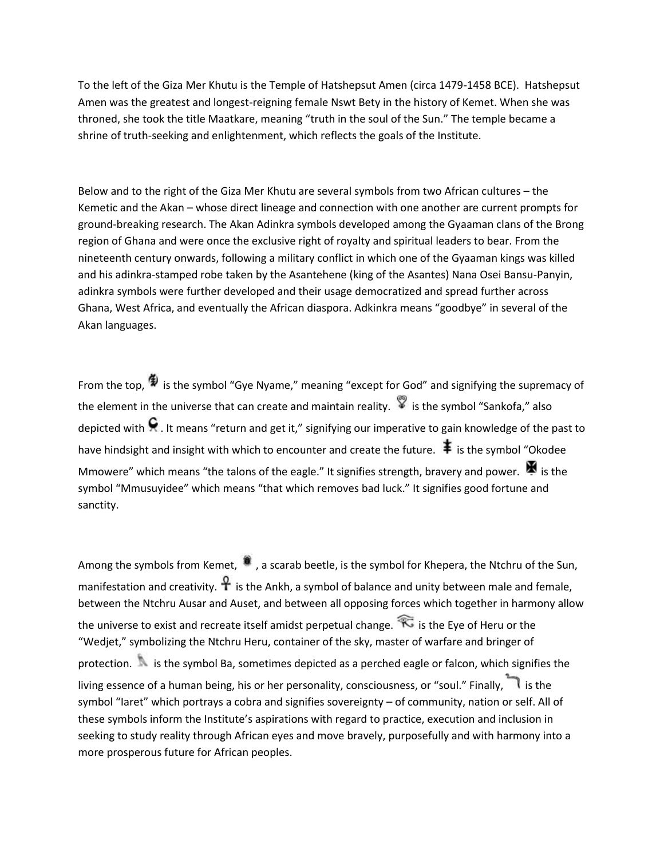To the left of the Giza Mer Khutu is the Temple of Hatshepsut Amen (circa 1479-1458 BCE). Hatshepsut Amen was the greatest and longest-reigning female Nswt Bety in the history of Kemet. When she was throned, she took the title Maatkare, meaning "truth in the soul of the Sun." The temple became a shrine of truth-seeking and enlightenment, which reflects the goals of the Institute.

Below and to the right of the Giza Mer Khutu are several symbols from two African cultures – the Kemetic and the Akan – whose direct lineage and connection with one another are current prompts for ground-breaking research. The Akan Adinkra symbols developed among the Gyaaman clans of the Brong region of Ghana and were once the exclusive right of royalty and spiritual leaders to bear. From the nineteenth century onwards, following a military conflict in which one of the Gyaaman kings was killed and his adinkra-stamped robe taken by the Asantehene (king of the Asantes) Nana Osei Bansu-Panyin, adinkra symbols were further developed and their usage democratized and spread further across Ghana, West Africa, and eventually the African diaspora. Adkinkra means "goodbye" in several of the Akan languages.

From the top,  $\oint$  is the symbol "Gye Nyame," meaning "except for God" and signifying the supremacy of the element in the universe that can create and maintain reality.  $\mathbb{I}$  is the symbol "Sankofa," also depicted with  $\Omega$ . It means "return and get it," signifying our imperative to gain knowledge of the past to have hindsight and insight with which to encounter and create the future.  $\ddot{\ddagger}$  is the symbol "Okodee" Mmowere" which means "the talons of the eagle." It signifies strength, bravery and power.  $\blacktriangleright$  is the symbol "Mmusuyidee" which means "that which removes bad luck." It signifies good fortune and sanctity.

Among the symbols from Kemet,  $\ddot{\bm{a}}$ , a scarab beetle, is the symbol for Khepera, the Ntchru of the Sun, manifestation and creativity.  $\mathcal{F}$  is the Ankh, a symbol of balance and unity between male and female, between the Ntchru Ausar and Auset, and between all opposing forces which together in harmony allow the universe to exist and recreate itself amidst perpetual change.  $\widehat{\mathcal{K}}$  is the Eye of Heru or the "Wedjet," symbolizing the Ntchru Heru, container of the sky, master of warfare and bringer of protection. is the symbol Ba, sometimes depicted as a perched eagle or falcon, which signifies the living essence of a human being, his or her personality, consciousness, or "soul." Finally, is the symbol "Iaret" which portrays a cobra and signifies sovereignty - of community, nation or self. All of these symbols inform the Institute's aspirations with regard to practice, execution and inclusion in seeking to study reality through African eyes and move bravely, purposefully and with harmony into a more prosperous future for African peoples.